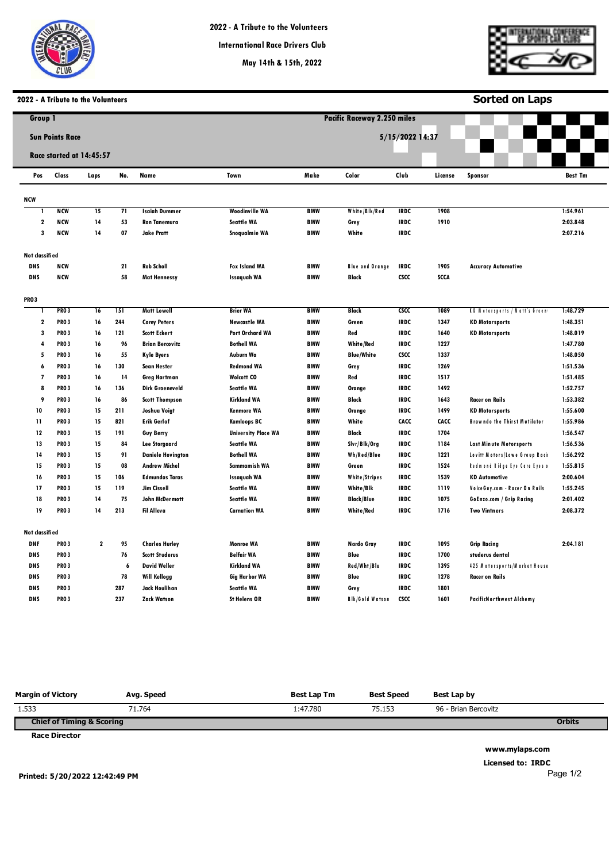



**Sorted on Laps**

# **2022 - A Tribute to the Volunteers**

| Group 1                  |                        |                          |     |                          |                            |            | <b>Pacific Raceway 2.250 miles</b> |                 |             |                                      |                |  |
|--------------------------|------------------------|--------------------------|-----|--------------------------|----------------------------|------------|------------------------------------|-----------------|-------------|--------------------------------------|----------------|--|
|                          | <b>Sun Points Race</b> |                          |     |                          |                            |            |                                    | 5/15/2022 14:37 |             |                                      |                |  |
|                          |                        | Race started at 14:45:57 |     |                          |                            |            |                                    |                 |             |                                      |                |  |
| Pos                      | Class                  | Laps                     | No. | Name                     | Town                       | Make       | Color                              | Club            | License     | Sponsor                              | <b>Best Tm</b> |  |
| NCW                      |                        |                          |     |                          |                            |            |                                    |                 |             |                                      |                |  |
| -1                       | <b>NCW</b>             | 15                       | 71  | <b>Isaiah Dummer</b>     | <b>Woodinville WA</b>      | <b>BMW</b> | White/Blk/Red                      | <b>IRDC</b>     | 1908        |                                      | 1:54.961       |  |
| $\boldsymbol{2}$         | <b>NCW</b>             | 14                       | 53  | <b>Ron Tanemura</b>      | <b>Seattle WA</b>          | <b>BMW</b> | Grey                               | <b>IRDC</b>     | 1910        |                                      | 2:03.848       |  |
| 3                        | <b>NCW</b>             | 14                       | 07  | <b>Jake Pratt</b>        | Snogualmie WA              | <b>BMW</b> | White                              | <b>IRDC</b>     |             |                                      | 2:07.216       |  |
| Not classified           |                        |                          |     |                          |                            |            |                                    |                 |             |                                      |                |  |
| <b>DNS</b>               | <b>NCW</b>             |                          | 21  | <b>Rob Scholl</b>        | <b>Fox Island WA</b>       | <b>BMW</b> | <b>Blue and Orange</b>             | <b>IRDC</b>     | 1905        | <b>Accuracy Automotive</b>           |                |  |
| <b>DNS</b>               | <b>NCW</b>             |                          | 58  | <b>Mat Hennessy</b>      | <b>Issaguah WA</b>         | <b>BMW</b> | Black                              | <b>CSCC</b>     | <b>SCCA</b> |                                      |                |  |
| <b>PRO3</b>              |                        |                          |     |                          |                            |            |                                    |                 |             |                                      |                |  |
|                          | <b>PRO3</b>            | 16                       | 151 | <b>Matt Lowell</b>       | <b>Brier WA</b>            | <b>BMW</b> | Black                              | cscc            | 1089        | <b>KD Motorsports / Matt's Green</b> | 1:48.729       |  |
| $\boldsymbol{2}$         | <b>PRO3</b>            | 16                       | 244 | <b>Corey Peters</b>      | <b>Newcastle WA</b>        | <b>BMW</b> | Green                              | <b>IRDC</b>     | 1347        | <b>KD Motorsports</b>                | 1:48.351       |  |
| 3                        | <b>PRO3</b>            | 16                       | 121 | <b>Scott Eckert</b>      | Port Orchard WA            | <b>BMW</b> | Red                                | <b>IRDC</b>     | 1640        | <b>KD Motorsports</b>                | 1:48.019       |  |
| 4                        | <b>PRO3</b>            | 16                       | 96  | <b>Brian Bercovitz</b>   | <b>Bothell WA</b>          | <b>BMW</b> | <b>White/Red</b>                   | <b>IRDC</b>     | 1227        |                                      | 1:47.780       |  |
| 5                        | <b>PRO3</b>            | 16                       | 55  | <b>Kyle Byers</b>        | Auburn Wa                  | <b>BMW</b> | <b>Blue/White</b>                  | <b>CSCC</b>     | 1337        |                                      | 1:48.050       |  |
| 6                        | <b>PRO3</b>            | 16                       | 130 | <b>Sean Hester</b>       | <b>Redmond WA</b>          | <b>BMW</b> | Grey                               | <b>IRDC</b>     | 1269        |                                      | 1:51.536       |  |
| $\overline{\phantom{a}}$ | <b>PRO3</b>            | 16                       | 14  | <b>Greg Hartman</b>      | <b>Wolcott CO</b>          | <b>BMW</b> | Red                                | <b>IRDC</b>     | 1517        |                                      | 1:51.485       |  |
| 8                        | <b>PRO3</b>            | 16                       | 136 | <b>Dirk Groeneveld</b>   | <b>Seattle WA</b>          | <b>BMW</b> | <b>Orange</b>                      | <b>IRDC</b>     | 1492        |                                      | 1:52.757       |  |
| 9                        | <b>PRO3</b>            | 16                       | 86  | <b>Scott Thompson</b>    | <b>Kirkland WA</b>         | <b>BMW</b> | Black                              | <b>IRDC</b>     | 1643        | <b>Racer on Rails</b>                | 1:53.382       |  |
| 10                       | <b>PRO3</b>            | 15                       | 211 | Joshua Voigt             | <b>Kenmore WA</b>          | <b>BMW</b> | Orange                             | <b>IRDC</b>     | 1499        | <b>KD Motorsports</b>                | 1:55.600       |  |
| $\mathbf{11}$            | <b>PRO3</b>            | 15                       | 821 | <b>Erik Gerlof</b>       | <b>Kamloops BC</b>         | <b>BMW</b> | White                              | CACC            | CACC        | <b>Brawndo the Thirst Mutilator</b>  | 1:55.986       |  |
| 12                       | <b>PRO3</b>            | 15                       | 191 | <b>Guy Berry</b>         | <b>University Place WA</b> | <b>BMW</b> | Black                              | <b>IRDC</b>     | 1704        |                                      | 1:56.547       |  |
| 13                       | <b>PRO3</b>            | 15                       | 84  | <b>Lee Storgaard</b>     | <b>Seattle WA</b>          | <b>BMW</b> | Slvr/Blk/Org                       | <b>IRDC</b>     | 1184        | <b>Last Minute Motorsports</b>       | 1:56.536       |  |
| 14                       | <b>PRO3</b>            | 15                       | 91  | <b>Daniele Hovington</b> | <b>Bothell WA</b>          | <b>BMW</b> | Wh/Red/Blue                        | <b>IRDC</b>     | 1221        | Lovitt Motors/Lowe Group Raci        | 1:56.292       |  |
| 15                       | <b>PRO3</b>            | 15                       | 08  | <b>Andrew Michel</b>     | Sammamish WA               | <b>BMW</b> | Green                              | <b>IRDC</b>     | 1524        | Redmond Ridge Eye Care Eyes o        | 1:55.815       |  |
| 16                       | <b>PRO3</b>            | 15                       | 106 | <b>Edmundas Taras</b>    | <b>Issaquah WA</b>         | <b>BMW</b> | White/Stripes                      | <b>IRDC</b>     | 1539        | <b>KD Automotive</b>                 | 2:00.604       |  |
| 17                       | <b>PRO3</b>            | 15                       | 119 | Jim Cissell              | <b>Seattle WA</b>          | <b>BMW</b> | White/Blk                          | <b>IRDC</b>     | 1119        | Voice Guy.com - Racer On Rails       | 1:55.245       |  |
| 18                       | <b>PRO3</b>            | 14                       | 75  | <b>John McDermott</b>    | <b>Seattle WA</b>          | <b>BMW</b> | <b>Black/Blue</b>                  | <b>IRDC</b>     | 1075        | GoEnzo.com / Grip Racing             | 2:01.402       |  |
| 19                       | <b>PRO3</b>            | 14                       | 213 | <b>Fil Alleva</b>        | <b>Carnation WA</b>        | <b>BMW</b> | <b>White/Red</b>                   | <b>IRDC</b>     | 1716        | <b>Two Vintners</b>                  | 2:08.372       |  |
| Not classified           |                        |                          |     |                          |                            |            |                                    |                 |             |                                      |                |  |
| <b>DNF</b>               | <b>PRO3</b>            | $\mathbf 2$              | 95  | <b>Charles Hurley</b>    | Monroe WA                  | <b>BMW</b> | Nardo Gray                         | <b>IRDC</b>     | 1095        | <b>Grip Racing</b>                   | 2:04.181       |  |
| <b>DNS</b>               | <b>PRO3</b>            |                          | 76  | <b>Scott Studerus</b>    | <b>Belfair WA</b>          | <b>BMW</b> | Blue                               | <b>IRDC</b>     | 1700        | studerus dental                      |                |  |
| <b>DNS</b>               | <b>PRO3</b>            |                          | 6   | <b>David Weller</b>      | <b>Kirkland WA</b>         | <b>BMW</b> | Red/Wht/Blu                        | <b>IRDC</b>     | 1395        | 425 Motorsports/Market House         |                |  |
| <b>DNS</b>               | <b>PRO3</b>            |                          | 78  | <b>Will Kellogg</b>      | <b>Gig Harbor WA</b>       | <b>BMW</b> | <b>Blue</b>                        | <b>IRDC</b>     | 1278        | Racer on Rails                       |                |  |
| <b>DNS</b>               | <b>PRO3</b>            |                          | 287 | Jack Houlihan            | <b>Seattle WA</b>          | <b>BMW</b> | Grey                               | <b>IRDC</b>     | 1801        |                                      |                |  |
| <b>DNS</b>               | <b>PRO3</b>            |                          | 237 | <b>Zack Watson</b>       | <b>St Helens OR</b>        | <b>BMW</b> | <b>Blk/Gold Watson</b>             | <b>CSCC</b>     | 1601        | <b>PacificNorthwest Alchemy</b>      |                |  |

| <b>Margin of Victory</b>             | Ava. Speed | Best Lap Tm | <b>Best Speed</b> | Best Lap by          |               |
|--------------------------------------|------------|-------------|-------------------|----------------------|---------------|
| 1.533                                | 71.764     | 1:47.780    | 75.153            | 96 - Brian Bercovitz |               |
| <b>Chief of Timing &amp; Scoring</b> |            |             |                   |                      | <b>Orbits</b> |
| <b>Race Director</b>                 |            |             |                   |                      |               |

**www.mylaps.com Licensed to: IRDC**  Page 1/2

**Printed: 5/20/2022 12:42:49 PM**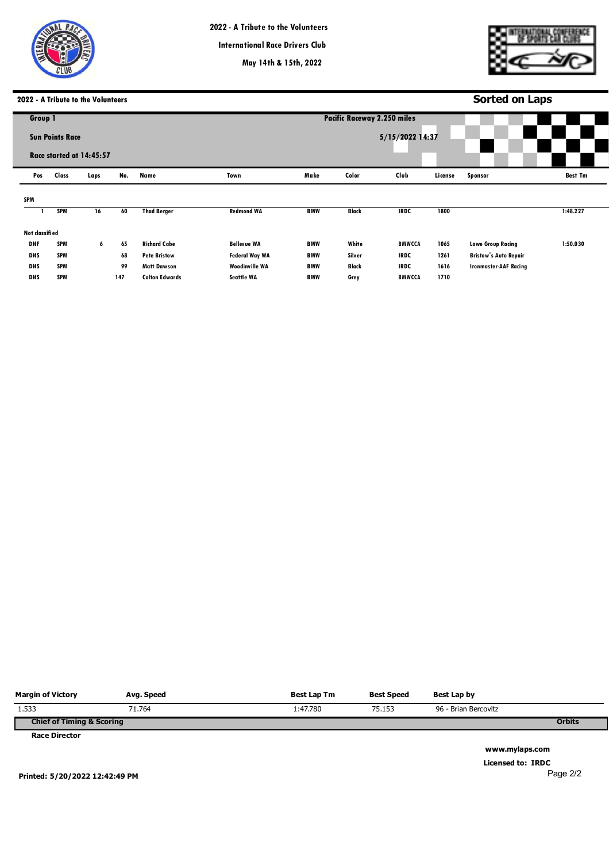



# **2022 - A Tribute to the Volunteers**

|                |                        | 2022 - A Tribute to the Volunteers |     |                       |                       |                                    |              |                 |         | <b>Sorted on Laps</b>        |                |
|----------------|------------------------|------------------------------------|-----|-----------------------|-----------------------|------------------------------------|--------------|-----------------|---------|------------------------------|----------------|
| Group 1        |                        |                                    |     |                       |                       | <b>Pacific Raceway 2.250 miles</b> |              |                 |         |                              |                |
|                | <b>Sun Points Race</b> | Race started at 14:45:57           |     |                       |                       |                                    |              | 5/15/2022 14:37 |         |                              |                |
| Pos            | Class                  | Laps                               | No. | Name                  | Town                  | Make                               | Color        | Club            | License | Sponsor                      | <b>Best Tm</b> |
| SPM            |                        |                                    |     |                       |                       |                                    |              |                 |         |                              |                |
|                | <b>SPM</b>             | 16                                 | 60  | <b>Thad Berger</b>    | <b>Redmond WA</b>     | <b>BMW</b>                         | <b>Black</b> | <b>IRDC</b>     | 1800    |                              | 1:48.227       |
| Not classified |                        |                                    |     |                       |                       |                                    |              |                 |         |                              |                |
| <b>DNF</b>     | <b>SPM</b>             | 6                                  | 65  | <b>Richard Cabe</b>   | <b>Bellevue WA</b>    | <b>BMW</b>                         | White        | <b>BMWCCA</b>   | 1065    | <b>Lowe Group Racing</b>     | 1:50.030       |
| <b>DNS</b>     | <b>SPM</b>             |                                    | 68  | <b>Pete Bristow</b>   | <b>Federal Way WA</b> | <b>BMW</b>                         | Silver       | <b>IRDC</b>     | 1261    | <b>Bristow's Auto Repair</b> |                |
| <b>DNS</b>     | <b>SPM</b>             |                                    | 99  | <b>Matt Dawson</b>    | <b>Woodinville WA</b> | <b>BMW</b>                         | <b>Black</b> | <b>IRDC</b>     | 1616    | <b>Ironmaster-AAF Racing</b> |                |
| <b>DNS</b>     | <b>SPM</b>             |                                    | 147 | <b>Colton Edwards</b> | <b>Seattle WA</b>     | <b>BMW</b>                         | Grey         | <b>BMWCCA</b>   | 1710    |                              |                |
|                |                        |                                    |     |                       |                       |                                    |              |                 |         |                              |                |

| <b>Margin of Victory</b>             | Avg. Speed | Best Lap Tm | <b>Best Speed</b> | Best Lap by          |               |
|--------------------------------------|------------|-------------|-------------------|----------------------|---------------|
| 1.533                                | 71.764     | 1:47.780    | 75.153            | 96 - Brian Bercovitz |               |
| <b>Chief of Timing &amp; Scoring</b> |            |             |                   |                      | <b>Orbits</b> |
| <b>Race Director</b>                 |            |             |                   |                      |               |

**www.mylaps.com Licensed to: IRDC**  Page 2/2

**Printed: 5/20/2022 12:42:49 PM**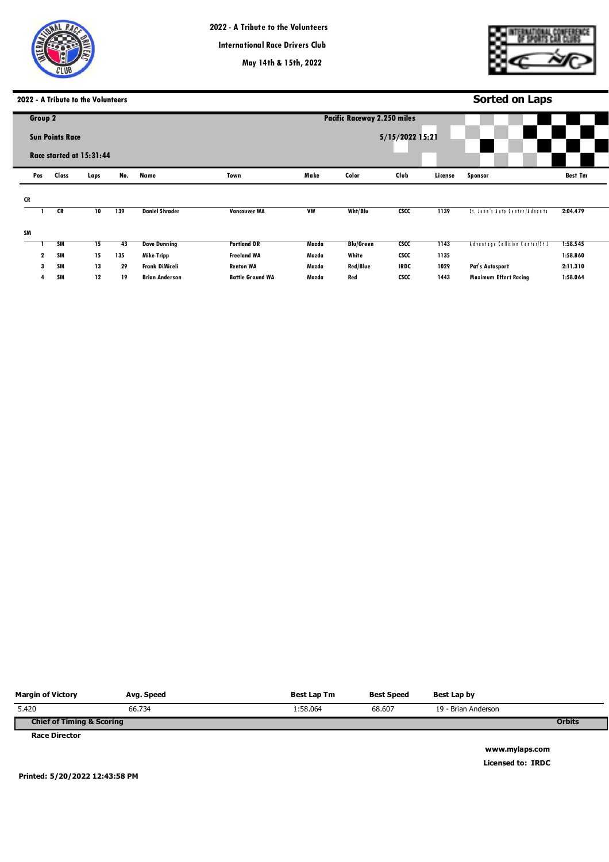

**May 14th & 15th, 2022**

**Pacific Raceways**



# **2022 - A Tribute to the Volunteers**

|           |              |                        | 2022 - A Tribute to the Volunteers |     |                       |                         |                             |                  |                   |         | <b>Sorted on Laps</b>           |                |  |
|-----------|--------------|------------------------|------------------------------------|-----|-----------------------|-------------------------|-----------------------------|------------------|-------------------|---------|---------------------------------|----------------|--|
|           | Group 2      |                        |                                    |     |                       |                         | Pacific Raceway 2.250 miles |                  |                   |         |                                 |                |  |
|           |              | <b>Sun Points Race</b> | Race started at 15:31:44           |     |                       |                         |                             |                  | $5/15/2022$ 15:21 |         |                                 |                |  |
|           | Pos          | Class                  | Laps                               | No. | Name                  | Town                    | Make                        | Color            | Club              | License | Sponsor                         | <b>Best Tm</b> |  |
| <b>CR</b> |              |                        |                                    |     |                       |                         |                             |                  |                   |         |                                 |                |  |
|           |              | CR                     | 10                                 | 139 | <b>Daniel Shrader</b> | <b>Vancouver WA</b>     | <b>VW</b>                   | Wht/Blu          | csc               | 1139    | St. John's Auto Center/Advanta  | 2:04.479       |  |
| SM        |              |                        |                                    |     |                       |                         |                             |                  |                   |         |                                 |                |  |
|           |              | SM                     | 15                                 | 43  | <b>Dave Dunning</b>   | <b>Portland OR</b>      | Mazda                       | <b>Blu/Green</b> | csc               | 1143    | Advantage Collision Center/St J | 1:58.545       |  |
|           | $\mathbf{2}$ | SM                     | 15                                 | 135 | <b>Mike Tripp</b>     | <b>Freeland WA</b>      | Mazda                       | White            | <b>CSCC</b>       | 1135    |                                 | 1:58.860       |  |
|           | 3            | <b>SM</b>              | 13                                 | 29  | Frank DiMiceli        | <b>Renton WA</b>        | Mazda                       | <b>Red/Blue</b>  | <b>IRDC</b>       | 1029    | Pat's Autosport                 | 2:11.310       |  |
|           |              | SM                     | 12                                 | 19  | <b>Brian Anderson</b> | <b>Battle Ground WA</b> | Mazda                       | Red              | <b>CSCC</b>       | 1443    | <b>Maximum Effort Racing</b>    | 1:58.064       |  |

| <b>Margin of Victory</b>             | Avg. Speed | Best Lap Tm | <b>Best Speed</b> | Best Lap by         |               |
|--------------------------------------|------------|-------------|-------------------|---------------------|---------------|
| 5.420                                | 66.734     | 1:58.064    | 68.607            | 19 - Brian Anderson |               |
| <b>Chief of Timing &amp; Scoring</b> |            |             |                   |                     | <b>Orbits</b> |
| <b>Race Director</b>                 |            |             |                   |                     |               |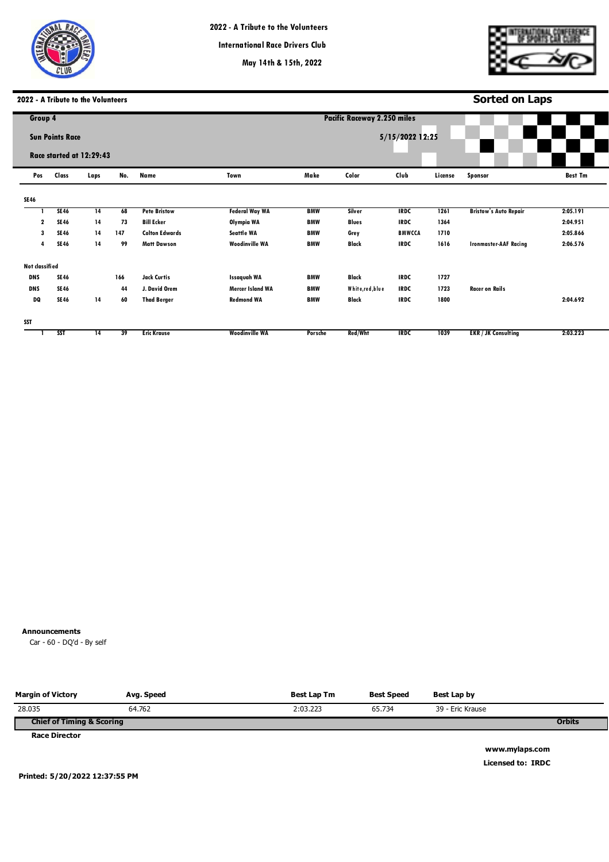

**May 14th & 15th, 2022**

**Pacific Raceways**



**Sorted on Laps**

## **2022 - A Tribute to the Volunteers**

| Group 4        |                        |                          |     |                       |                         | <b>Pacific Raceway 2.250 miles</b> |                  |               |         |                              |                |  |
|----------------|------------------------|--------------------------|-----|-----------------------|-------------------------|------------------------------------|------------------|---------------|---------|------------------------------|----------------|--|
|                | <b>Sun Points Race</b> | Race started at 12:29:43 |     |                       | 5/15/2022 12:25         |                                    |                  |               |         |                              |                |  |
| Pos            | Class                  | Laps                     | No. | Name                  | Town                    | Make                               | Color            | Club          | License | Sponsor                      | <b>Best Tm</b> |  |
| <b>SE46</b>    |                        |                          |     |                       |                         |                                    |                  |               |         |                              |                |  |
|                | <b>SE46</b>            | 14                       | 68  | <b>Pete Bristow</b>   | <b>Federal Way WA</b>   | <b>BMW</b>                         | Silver           | <b>IRDC</b>   | 1261    | <b>Bristow's Auto Repair</b> | 2:05.191       |  |
| 2              | <b>SE46</b>            | 14                       | 73  | <b>Bill Ecker</b>     | Olympia WA              | <b>BMW</b>                         | <b>Blues</b>     | <b>IRDC</b>   | 1364    |                              | 2:04.951       |  |
| 3              | <b>SE46</b>            | 14                       | 147 | <b>Colton Edwards</b> | <b>Seattle WA</b>       | <b>BMW</b>                         | Grey             | <b>BMWCCA</b> | 1710    |                              | 2:05.866       |  |
| 4              | <b>SE46</b>            | 14                       | 99  | <b>Matt Dawson</b>    | <b>Woodinville WA</b>   | <b>BMW</b>                         | Black            | <b>IRDC</b>   | 1616    | <b>Ironmaster-AAF Racing</b> | 2:06.576       |  |
| Not classified |                        |                          |     |                       |                         |                                    |                  |               |         |                              |                |  |
| <b>DNS</b>     | <b>SE46</b>            |                          | 166 | <b>Jack Curtis</b>    | <b>Issaquah WA</b>      | <b>BMW</b>                         | <b>Black</b>     | <b>IRDC</b>   | 1727    |                              |                |  |
| <b>DNS</b>     | <b>SE46</b>            |                          | 44  | J. David Orem         | <b>Mercer Island WA</b> | <b>BMW</b>                         | White, red, blue | <b>IRDC</b>   | 1723    | <b>Racer on Rails</b>        |                |  |
| DQ             | <b>SE46</b>            | 14                       | 60  | <b>Thad Berger</b>    | <b>Redmond WA</b>       | <b>BMW</b>                         | <b>Black</b>     | <b>IRDC</b>   | 1800    |                              | 2:04.692       |  |
| <b>SST</b>     |                        |                          |     |                       |                         |                                    |                  |               |         |                              |                |  |
|                | <b>SST</b>             | 14                       | 39  | <b>Eric Krause</b>    | <b>Woodinville WA</b>   | Porsche                            | Red/Wht          | <b>IRDC</b>   | 1039    | <b>EKR / JK Consulting</b>   | 2:03.223       |  |

## **Announcements**

**0** Car - 60 - DQ'd - By self

**Chief of Timing & Scoring Race Director Orbits Margin of Victory**  28.035 **Avg. Speed**  64.762 **Best Lap Tm**  2:03.223 **Best Speed**  65.734 **Best Lap by**  39 - Eric Krause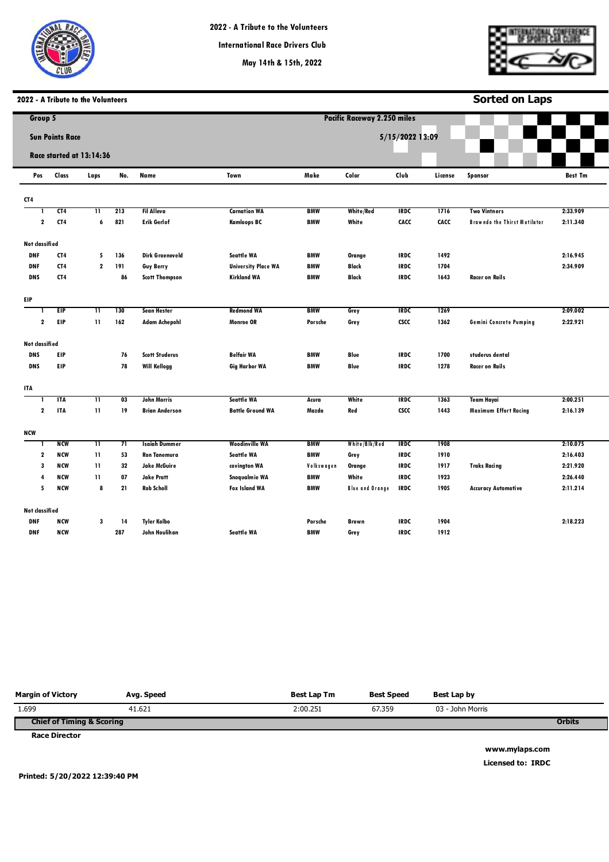



**Sorted on Laps**

# **2022 - A Tribute to the Volunteers**

| Group 5        |                        |                          |     |                        |                            |            | <b>Pacific Raceway 2.250 miles</b> |                 |         |                                     |                |
|----------------|------------------------|--------------------------|-----|------------------------|----------------------------|------------|------------------------------------|-----------------|---------|-------------------------------------|----------------|
|                | <b>Sun Points Race</b> |                          |     |                        |                            |            |                                    | 5/15/2022 13:09 |         |                                     |                |
|                |                        |                          |     |                        |                            |            |                                    |                 |         |                                     |                |
|                |                        | Race started at 13:14:36 |     |                        |                            |            |                                    |                 |         |                                     |                |
| Pos            | Class                  | Laps                     | No. | Name                   | Town                       | Make       | Color                              | Club            | License | Sponsor                             | <b>Best Tm</b> |
| CT4            |                        |                          |     |                        |                            |            |                                    |                 |         |                                     |                |
|                | CT4                    | $\overline{\mathbf{11}}$ | 213 | <b>Fil Alleva</b>      | <b>Carnation WA</b>        | <b>BMW</b> | <b>White/Red</b>                   | <b>IRDC</b>     | 1716    | <b>Two Vintners</b>                 | 2:33.909       |
| $\mathbf{2}$   | CT4                    | 6                        | 821 | <b>Erik Gerlof</b>     | <b>Kamloops BC</b>         | <b>BMW</b> | White                              | CACC            | CACC    | <b>Brawndo the Thirst Mutilator</b> | 2:11.340       |
| Not classified |                        |                          |     |                        |                            |            |                                    |                 |         |                                     |                |
| <b>DNF</b>     | CT4                    | 5                        | 136 | <b>Dirk Groeneveld</b> | <b>Seattle WA</b>          | <b>BMW</b> | Orange                             | <b>IRDC</b>     | 1492    |                                     | 2:16.945       |
| <b>DNF</b>     | CT4                    | $\mathbf{2}$             | 191 | Guy Berry              | <b>University Place WA</b> | <b>BMW</b> | <b>Black</b>                       | <b>IRDC</b>     | 1704    |                                     | 2:34.909       |
| <b>DNS</b>     | CT4                    |                          | 86  | <b>Scott Thompson</b>  | <b>Kirkland WA</b>         | <b>BMW</b> | Black                              | <b>IRDC</b>     | 1643    | <b>Racer on Rails</b>               |                |
| EIP            |                        |                          |     |                        |                            |            |                                    |                 |         |                                     |                |
|                | EIP                    | π                        | 130 | <b>Sean Hester</b>     | <b>Redmond WA</b>          | <b>BMW</b> | Grey                               | <b>IRDC</b>     | 1269    |                                     | 2:09.002       |
| $\mathbf{2}$   | EIP                    | $\mathbf{11}$            | 162 | <b>Adam Achepohl</b>   | <b>Monroe OR</b>           | Porsche    | Grey                               | <b>CSCC</b>     | 1362    | Gemini Concrete Pumping             | 2:22.921       |
| Not classified |                        |                          |     |                        |                            |            |                                    |                 |         |                                     |                |
| <b>DNS</b>     | <b>EIP</b>             |                          | 76  | <b>Scott Studerus</b>  | <b>Belfair WA</b>          | <b>BMW</b> | Blue                               | <b>IRDC</b>     | 1700    | studerus dental                     |                |
| <b>DNS</b>     | <b>EIP</b>             |                          | 78  | <b>Will Kellogg</b>    | <b>Gig Harbor WA</b>       | <b>BMW</b> | Blue                               | <b>IRDC</b>     | 1278    | <b>Racer on Rails</b>               |                |
| <b>ITA</b>     |                        |                          |     |                        |                            |            |                                    |                 |         |                                     |                |
| -1             | <b>ITA</b>             | π                        | 03  | <b>John Morris</b>     | <b>Seattle WA</b>          | Acura      | White                              | <b>IRDC</b>     | 1363    | <b>Team Hayai</b>                   | 2:00.251       |
| $\mathbf{2}$   | <b>ITA</b>             | 11                       | 19  | <b>Brian Anderson</b>  | <b>Battle Ground WA</b>    | Mazda      | Red                                | <b>CSCC</b>     | 1443    | <b>Maximum Effort Racing</b>        | 2:16.139       |
| NCW            |                        |                          |     |                        |                            |            |                                    |                 |         |                                     |                |
|                | <b>NCW</b>             | π                        | 71  | <b>Isaiah Dummer</b>   | <b>Woodinville WA</b>      | <b>BMW</b> | White/Blk/Red                      | <b>IRDC</b>     | 1908    |                                     | 2:10.075       |
| 2              | <b>NCW</b>             | 11                       | 53  | <b>Ron Tanemura</b>    | <b>Seattle WA</b>          | <b>BMW</b> | Grey                               | <b>IRDC</b>     | 1910    |                                     | 2:16.403       |
| 3              | <b>NCW</b>             | 11                       | 32  | Jake McGuire           | covington WA               | Volkswagen | Orange                             | <b>IRDC</b>     | 1917    | <b>Traks Racing</b>                 | 2:21.920       |
| 4              | <b>NCW</b>             | 11                       | 07  | <b>Jake Pratt</b>      | Snoqualmie WA              | <b>BMW</b> | White                              | <b>IRDC</b>     | 1923    |                                     | 2:26.440       |
| 5              | <b>NCW</b>             | 8                        | 21  | <b>Rob Scholl</b>      | <b>Fox Island WA</b>       | <b>BMW</b> | <b>Blue and Orange</b>             | <b>IRDC</b>     | 1905    | <b>Accuracy Automotive</b>          | 2:11.214       |
| Not classified |                        |                          |     |                        |                            |            |                                    |                 |         |                                     |                |
| <b>DNF</b>     | <b>NCW</b>             | 3                        | 14  | Tyler Kolbo            |                            | Porsche    | <b>Brown</b>                       | <b>IRDC</b>     | 1904    |                                     | 2:18.223       |
| <b>DNF</b>     | <b>NCW</b>             |                          | 287 | John Houlihan          | <b>Seattle WA</b>          | <b>BMW</b> | Grey                               | <b>IRDC</b>     | 1912    |                                     |                |

| <b>Margin of Victory</b>             | Avg. Speed | Best Lap Tm | <b>Best Speed</b> | Best Lap by      |               |
|--------------------------------------|------------|-------------|-------------------|------------------|---------------|
| 1.699                                | 41.621     | 2:00.251    | 67.359            | 03 - John Morris |               |
| <b>Chief of Timing &amp; Scoring</b> |            |             |                   |                  | <b>Orbits</b> |
| <b>Race Director</b>                 |            |             |                   |                  |               |